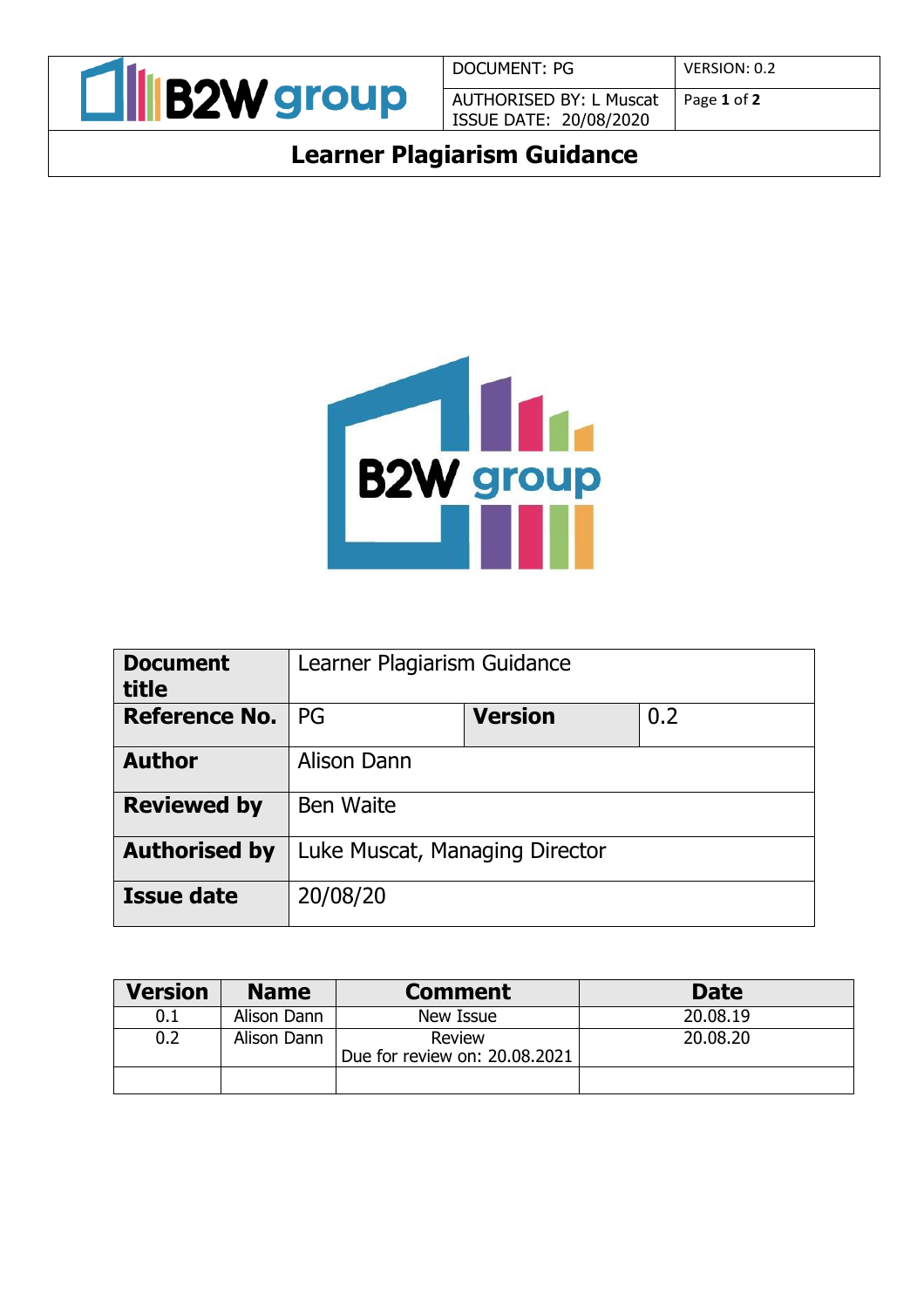

DOCUMENT: PG | VERSION: 0.2 AUTHORISED BY: L Muscat ISSUE DATE: 20/08/2020

Page **1** of **2**

# **Learner Plagiarism Guidance**



| <b>Document</b><br>title | Learner Plagiarism Guidance    |                |     |
|--------------------------|--------------------------------|----------------|-----|
| <b>Reference No.</b>     | PG                             | <b>Version</b> | 0.2 |
| <b>Author</b>            | Alison Dann                    |                |     |
| <b>Reviewed by</b>       | <b>Ben Waite</b>               |                |     |
| <b>Authorised by</b>     | Luke Muscat, Managing Director |                |     |
| <b>Issue date</b>        | 20/08/20                       |                |     |

| <b>Version</b> | <b>Name</b> | <b>Comment</b>                            | <b>Date</b> |
|----------------|-------------|-------------------------------------------|-------------|
| 0.1            | Alison Dann | New Issue                                 | 20.08.19    |
|                | Alison Dann | Review<br>Due for review on: $20.08.2021$ | 20,08,20    |
|                |             |                                           |             |